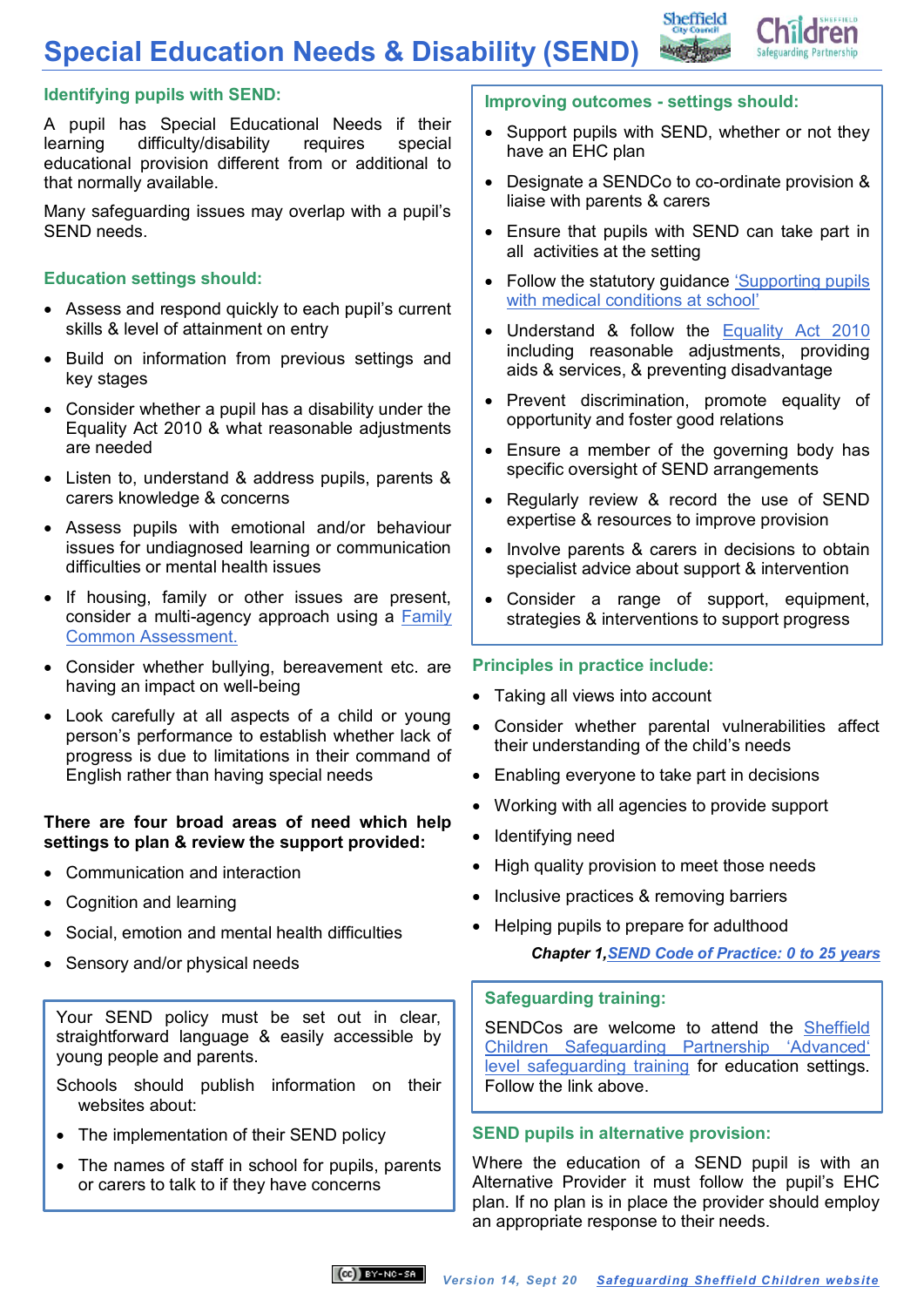# **Special Education Needs & Disability (SEND)**



## **Identifying pupils with SEND:**

A pupil has Special Educational Needs if their learning difficulty/disability requires special educational provision different from or additional to that normally available.

Many safeguarding issues may overlap with a pupil's SEND needs.

## **Education settings should:**

- Assess and respond quickly to each pupil's current skills & level of attainment on entry
- Build on information from previous settings and key stages
- Consider whether a pupil has a disability under the Equality Act 2010 & what reasonable adjustments are needed
- Listen to, understand & address pupils, parents & carers knowledge & concerns
- Assess pupils with emotional and/or behaviour issues for undiagnosed learning or communication difficulties or mental health issues
- If housing, family or other issues are present, consider a multi-agency approach using a [Family](http://www.sheffielddirectory.org.uk/kb5/sheffield/directory/site.page?id=2oOKchMeYzA)  Common [Assessment.](http://www.sheffielddirectory.org.uk/kb5/sheffield/directory/site.page?id=2oOKchMeYzA)
- Consider whether bullying, bereavement etc. are having an impact on well-being
- Look carefully at all aspects of a child or young person's performance to establish whether lack of progress is due to limitations in their command of English rather than having special needs

#### **There are four broad areas of need which help settings to plan & review the support provided:**

- Communication and interaction
- Cognition and learning
- Social, emotion and mental health difficulties
- Sensory and/or physical needs

Your SEND policy must be set out in clear, straightforward language & easily accessible by young people and parents.

- Schools should publish information on their websites about:
- The implementation of their SEND policy
- The names of staff in school for pupils, parents or carers to talk to if they have concerns

#### **Improving outcomes - settings should:**

- Support pupils with SEND, whether or not they have an EHC plan
- Designate a SENDCo to co-ordinate provision & liaise with parents & carers
- Ensure that pupils with SEND can take part in all activities at the setting
- Follow the statutory guidance ['Supporting pupils](https://www.gov.uk/government/publications/supporting-pupils-at-school-with-medical-conditions--3)  [with medical conditions](https://www.gov.uk/government/publications/supporting-pupils-at-school-with-medical-conditions--3) at school'
- Understand & follow the [Equality Act 2010](http://www.legislation.gov.uk/ukpga/2010/15/part/6/chapter/1) including reasonable adjustments, providing aids & services, & preventing disadvantage
- Prevent discrimination, promote equality of opportunity and foster good relations
- Ensure a member of the governing body has specific oversight of SEND arrangements
- Regularly review & record the use of SEND expertise & resources to improve provision
- Involve parents & carers in decisions to obtain specialist advice about support & intervention
- Consider a range of support, equipment, strategies & interventions to support progress

## **Principles in practice include:**

- Taking all views into account
- Consider whether parental vulnerabilities affect their understanding of the child's needs
- Enabling everyone to take part in decisions
- Working with all agencies to provide support
- Identifving need
- High quality provision to meet those needs
- Inclusive practices & removing barriers
- Helping pupils to prepare for adulthood *Chapter 1,SEND Code of Practice: 0 to 25 years*

## **Safeguarding training:**

SENDCos are welcome to attend the [Sheffield](http://www.safeguardingsheffieldchildren.org/sscb/education-training/designated-safeguarding-leads)  [Children Safeguarding Partnership](http://www.safeguardingsheffieldchildren.org/sscb/education-training/designated-safeguarding-leads) 'Advanced' [level safeguarding training](http://www.safeguardingsheffieldchildren.org/sscb/education-training/designated-safeguarding-leads) for education settings. Follow the link above.

## **SEND pupils in alternative provision:**

Where the education of a SEND pupil is with an Alternative Provider it must follow the pupil's EHC plan. If no plan is in place the provider should employ an appropriate response to their needs.